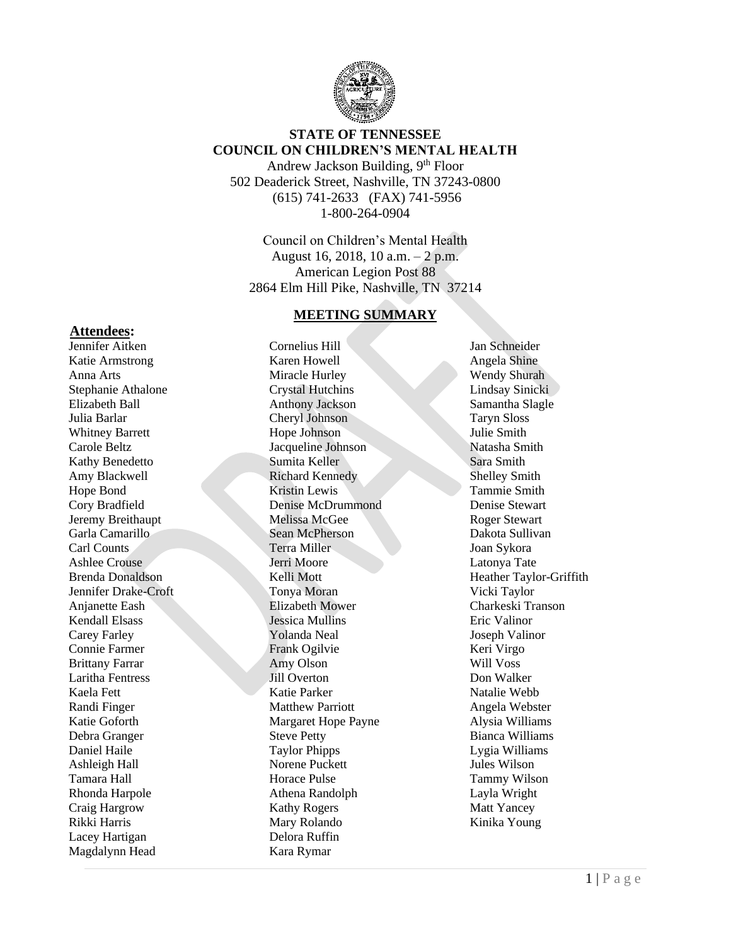

# **STATE OF TENNESSEE COUNCIL ON CHILDREN'S MENTAL HEALTH**

Andrew Jackson Building, 9th Floor 502 Deaderick Street, Nashville, TN 37243-0800 (615) 741-2633 (FAX) 741-5956 1-800-264-0904

Council on Children's Mental Health August 16, 2018, 10 a.m. – 2 p.m. American Legion Post 88 2864 Elm Hill Pike, Nashville, TN 37214

#### **MEETING SUMMARY**

Cornelius Hill Karen Howell Miracle Hurley Crystal Hutchins Anthony Jackson Cheryl Johnson Hope Johnson Jacqueline Johnson Sumita Keller Richard Kennedy Kristin Lewis Denise McDrummond Melissa McGee Sean McPherson Terra Miller Jerri Moore Kelli Mott Tonya Moran Elizabeth Mower Jessica Mullins Yolanda Neal Frank Ogilvie Amy Olson Jill Overton Katie Parker Matthew Parriott Margaret Hope Payne Steve Petty Taylor Phipps Norene Puckett Horace Pulse Athena Randolph Kathy Rogers Mary Rolando Delora Ruffin Kara Rymar

Jan Schneider Angela Shine Wendy Shurah Lindsay Sinicki Samantha Slagle Taryn Sloss Julie Smith Natasha Smith Sara Smith Shelley Smith Tammie Smith Denise Stewart Roger Stewart Dakota Sullivan Joan Sykora Latonya Tate Heather Taylor-Griffith Vicki Taylor Charkeski Transon Eric Valinor Joseph Valinor Keri Virgo Will Voss Don Walker Natalie Webb Angela Webster Alysia Williams Bianca Williams Lygia Williams Jules Wilson Tammy Wilson Layla Wright Matt Yancey Kinika Young

#### **Attendees:**

Jennifer Aitken Katie Armstrong Anna Arts Stephanie Athalone Elizabeth Ball Julia Barlar Whitney Barrett Carole Beltz Kathy Benedetto Amy Blackwell Hope Bond Cory Bradfield Jeremy Breithaupt Garla Camarillo Carl Counts Ashlee Crouse Brenda Donaldson Jennifer Drake-Croft Anjanette Eash Kendall Elsass Carey Farley Connie Farmer Brittany Farrar Laritha Fentress Kaela Fett Randi Finger Katie Goforth Debra Granger Daniel Haile Ashleigh Hall Tamara Hall Rhonda Harpole Craig Hargrow Rikki Harris Lacey Hartigan Magdalynn Head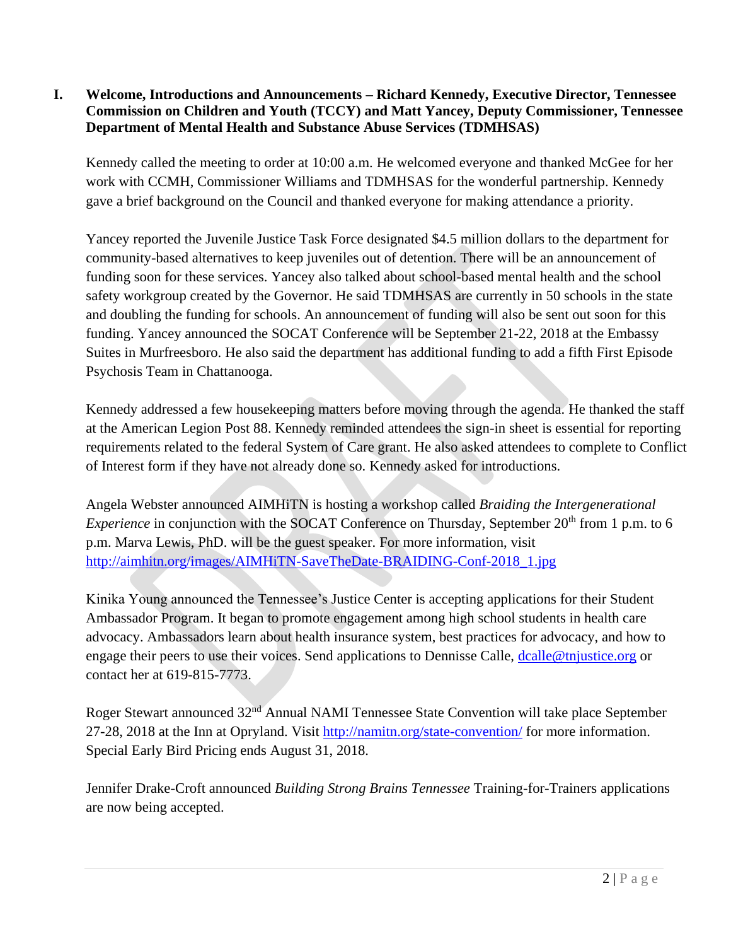### **I. Welcome, Introductions and Announcements – Richard Kennedy, Executive Director, Tennessee Commission on Children and Youth (TCCY) and Matt Yancey, Deputy Commissioner, Tennessee Department of Mental Health and Substance Abuse Services (TDMHSAS)**

Kennedy called the meeting to order at 10:00 a.m. He welcomed everyone and thanked McGee for her work with CCMH, Commissioner Williams and TDMHSAS for the wonderful partnership. Kennedy gave a brief background on the Council and thanked everyone for making attendance a priority.

Yancey reported the Juvenile Justice Task Force designated \$4.5 million dollars to the department for community-based alternatives to keep juveniles out of detention. There will be an announcement of funding soon for these services. Yancey also talked about school-based mental health and the school safety workgroup created by the Governor. He said TDMHSAS are currently in 50 schools in the state and doubling the funding for schools. An announcement of funding will also be sent out soon for this funding. Yancey announced the SOCAT Conference will be September 21-22, 2018 at the Embassy Suites in Murfreesboro. He also said the department has additional funding to add a fifth First Episode Psychosis Team in Chattanooga.

Kennedy addressed a few housekeeping matters before moving through the agenda. He thanked the staff at the American Legion Post 88. Kennedy reminded attendees the sign-in sheet is essential for reporting requirements related to the federal System of Care grant. He also asked attendees to complete to Conflict of Interest form if they have not already done so. Kennedy asked for introductions.

Angela Webster announced AIMHiTN is hosting a workshop called *Braiding the Intergenerational Experience* in conjunction with the SOCAT Conference on Thursday, September 20<sup>th</sup> from 1 p.m. to 6 p.m. Marva Lewis, PhD. will be the guest speaker. For more information, visit [http://aimhitn.org/images/AIMHiTN-SaveTheDate-BRAIDING-Conf-2018\\_1.jpg](http://aimhitn.org/images/AIMHiTN-SaveTheDate-BRAIDING-Conf-2018_1.jpg)

Kinika Young announced the Tennessee's Justice Center is accepting applications for their Student Ambassador Program. It began to promote engagement among high school students in health care advocacy. Ambassadors learn about health insurance system, best practices for advocacy, and how to engage their peers to use their voices. Send applications to Dennisse Calle, [dcalle@tnjustice.org](mailto:dcalle@tnjustice.org) or contact her at 619-815-7773.

Roger Stewart announced 32nd Annual NAMI Tennessee State Convention will take place September 27-28, 2018 at the Inn at Opryland. Visit<http://namitn.org/state-convention/> for more information. Special Early Bird Pricing ends August 31, 2018.

Jennifer Drake-Croft announced *Building Strong Brains Tennessee* Training-for-Trainers applications are now being accepted.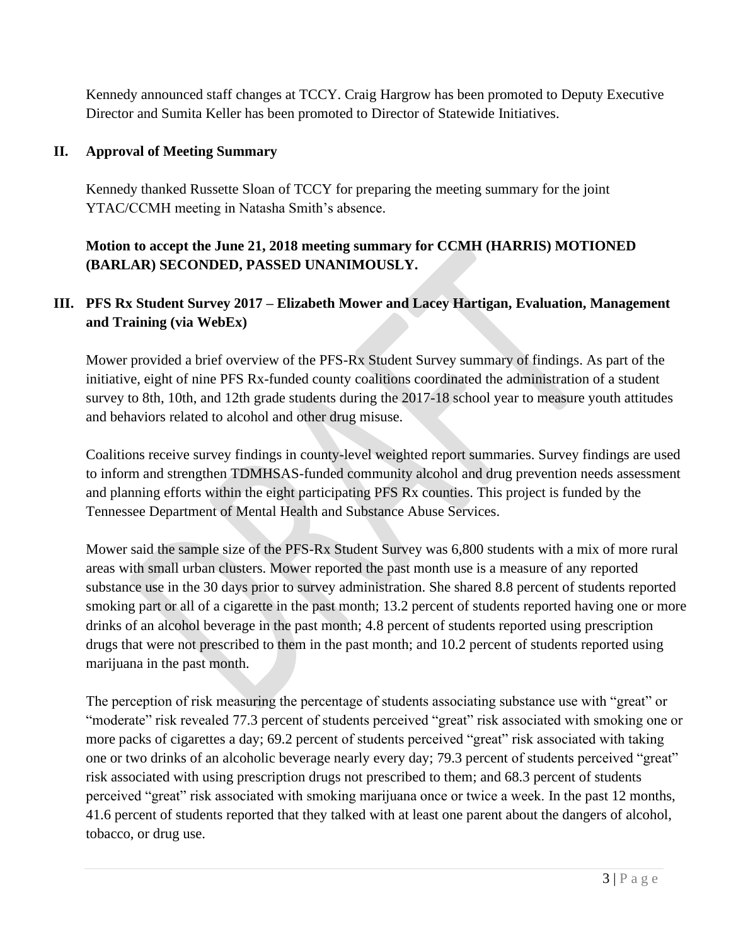Kennedy announced staff changes at TCCY. Craig Hargrow has been promoted to Deputy Executive Director and Sumita Keller has been promoted to Director of Statewide Initiatives.

### **II. Approval of Meeting Summary**

Kennedy thanked Russette Sloan of TCCY for preparing the meeting summary for the joint YTAC/CCMH meeting in Natasha Smith's absence.

**Motion to accept the June 21, 2018 meeting summary for CCMH (HARRIS) MOTIONED (BARLAR) SECONDED, PASSED UNANIMOUSLY.**

# **III. PFS Rx Student Survey 2017 – Elizabeth Mower and Lacey Hartigan, Evaluation, Management and Training (via WebEx)**

Mower provided a brief overview of the PFS-Rx Student Survey summary of findings. As part of the initiative, eight of nine PFS Rx-funded county coalitions coordinated the administration of a student survey to 8th, 10th, and 12th grade students during the 2017-18 school year to measure youth attitudes and behaviors related to alcohol and other drug misuse.

Coalitions receive survey findings in county-level weighted report summaries. Survey findings are used to inform and strengthen TDMHSAS-funded community alcohol and drug prevention needs assessment and planning efforts within the eight participating PFS Rx counties. This project is funded by the Tennessee Department of Mental Health and Substance Abuse Services.

Mower said the sample size of the PFS-Rx Student Survey was 6,800 students with a mix of more rural areas with small urban clusters. Mower reported the past month use is a measure of any reported substance use in the 30 days prior to survey administration. She shared 8.8 percent of students reported smoking part or all of a cigarette in the past month; 13.2 percent of students reported having one or more drinks of an alcohol beverage in the past month; 4.8 percent of students reported using prescription drugs that were not prescribed to them in the past month; and 10.2 percent of students reported using marijuana in the past month.

The perception of risk measuring the percentage of students associating substance use with "great" or "moderate" risk revealed 77.3 percent of students perceived "great" risk associated with smoking one or more packs of cigarettes a day; 69.2 percent of students perceived "great" risk associated with taking one or two drinks of an alcoholic beverage nearly every day; 79.3 percent of students perceived "great" risk associated with using prescription drugs not prescribed to them; and 68.3 percent of students perceived "great" risk associated with smoking marijuana once or twice a week. In the past 12 months, 41.6 percent of students reported that they talked with at least one parent about the dangers of alcohol, tobacco, or drug use.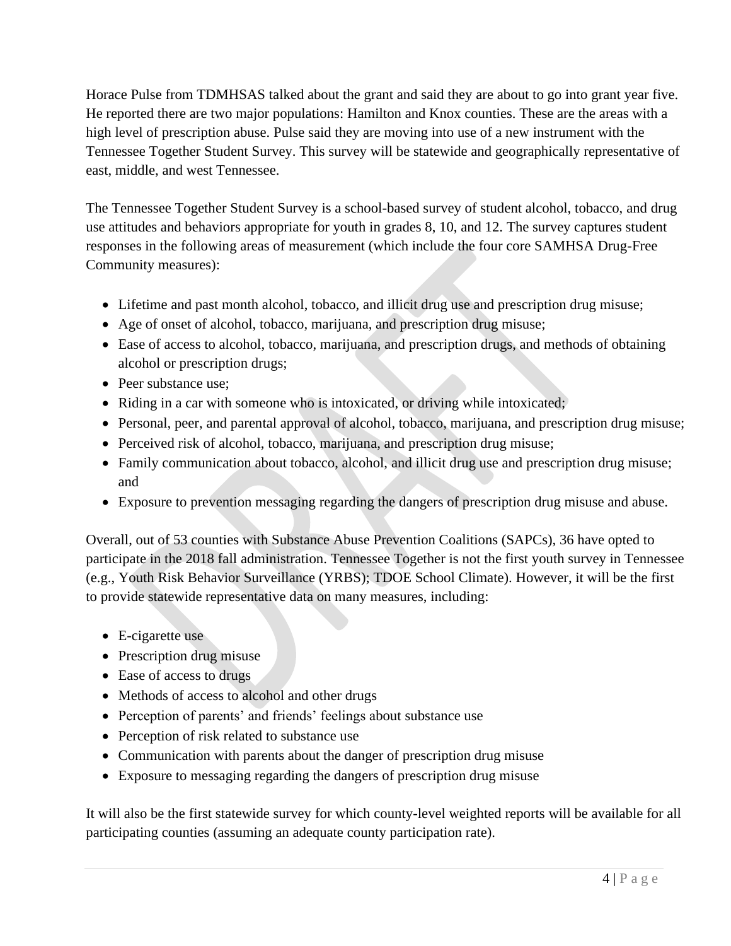Horace Pulse from TDMHSAS talked about the grant and said they are about to go into grant year five. He reported there are two major populations: Hamilton and Knox counties. These are the areas with a high level of prescription abuse. Pulse said they are moving into use of a new instrument with the Tennessee Together Student Survey. This survey will be statewide and geographically representative of east, middle, and west Tennessee.

The Tennessee Together Student Survey is a school-based survey of student alcohol, tobacco, and drug use attitudes and behaviors appropriate for youth in grades 8, 10, and 12. The survey captures student responses in the following areas of measurement (which include the four core SAMHSA Drug-Free Community measures):

- Lifetime and past month alcohol, tobacco, and illicit drug use and prescription drug misuse;
- Age of onset of alcohol, tobacco, marijuana, and prescription drug misuse;
- Ease of access to alcohol, tobacco, marijuana, and prescription drugs, and methods of obtaining alcohol or prescription drugs;
- Peer substance use:
- Riding in a car with someone who is intoxicated, or driving while intoxicated;
- Personal, peer, and parental approval of alcohol, tobacco, marijuana, and prescription drug misuse;
- Perceived risk of alcohol, tobacco, marijuana, and prescription drug misuse;
- Family communication about tobacco, alcohol, and illicit drug use and prescription drug misuse; and
- Exposure to prevention messaging regarding the dangers of prescription drug misuse and abuse.

Overall, out of 53 counties with Substance Abuse Prevention Coalitions (SAPCs), 36 have opted to participate in the 2018 fall administration. Tennessee Together is not the first youth survey in Tennessee (e.g., Youth Risk Behavior Surveillance (YRBS); TDOE School Climate). However, it will be the first to provide statewide representative data on many measures, including:

- E-cigarette use
- Prescription drug misuse
- Ease of access to drugs
- Methods of access to alcohol and other drugs
- Perception of parents' and friends' feelings about substance use
- Perception of risk related to substance use
- Communication with parents about the danger of prescription drug misuse
- Exposure to messaging regarding the dangers of prescription drug misuse

It will also be the first statewide survey for which county-level weighted reports will be available for all participating counties (assuming an adequate county participation rate).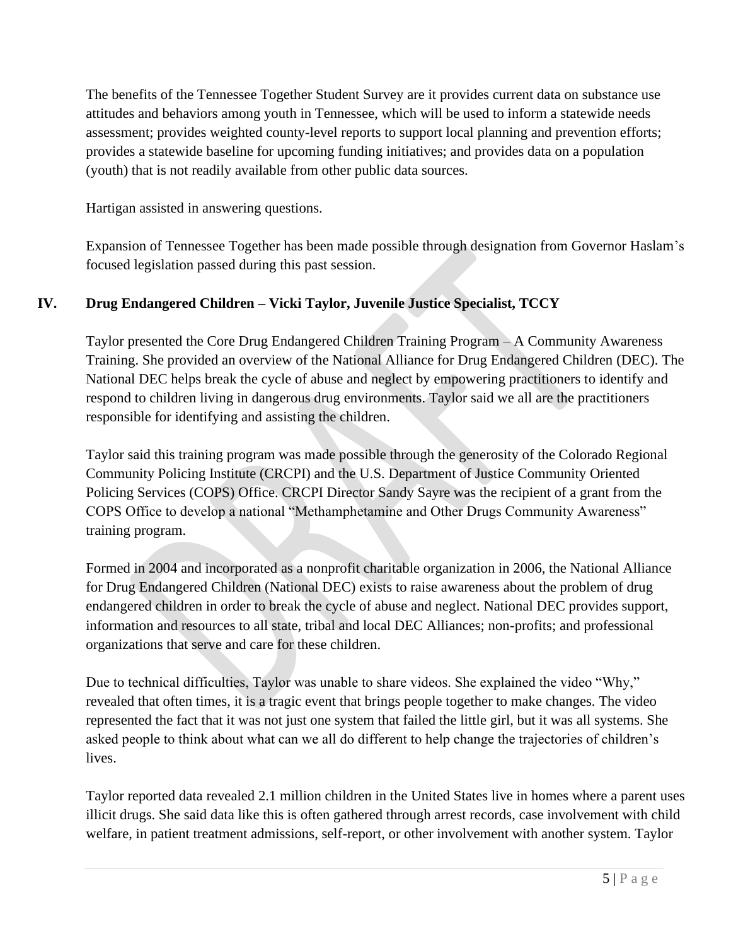The benefits of the Tennessee Together Student Survey are it provides current data on substance use attitudes and behaviors among youth in Tennessee, which will be used to inform a statewide needs assessment; provides weighted county-level reports to support local planning and prevention efforts; provides a statewide baseline for upcoming funding initiatives; and provides data on a population (youth) that is not readily available from other public data sources.

Hartigan assisted in answering questions.

Expansion of Tennessee Together has been made possible through designation from Governor Haslam's focused legislation passed during this past session.

# **IV. Drug Endangered Children – Vicki Taylor, Juvenile Justice Specialist, TCCY**

Taylor presented the Core Drug Endangered Children Training Program – A Community Awareness Training. She provided an overview of the National Alliance for Drug Endangered Children (DEC). The National DEC helps break the cycle of abuse and neglect by empowering practitioners to identify and respond to children living in dangerous drug environments. Taylor said we all are the practitioners responsible for identifying and assisting the children.

Taylor said this training program was made possible through the generosity of the Colorado Regional Community Policing Institute (CRCPI) and the U.S. Department of Justice Community Oriented Policing Services (COPS) Office. CRCPI Director Sandy Sayre was the recipient of a grant from the COPS Office to develop a national "Methamphetamine and Other Drugs Community Awareness" training program.

Formed in 2004 and incorporated as a nonprofit charitable organization in 2006, the National Alliance for Drug Endangered Children (National DEC) exists to raise awareness about the problem of drug endangered children in order to break the cycle of abuse and neglect. National DEC provides support, information and resources to all state, tribal and local DEC Alliances; non-profits; and professional organizations that serve and care for these children.

Due to technical difficulties, Taylor was unable to share videos. She explained the video "Why," revealed that often times, it is a tragic event that brings people together to make changes. The video represented the fact that it was not just one system that failed the little girl, but it was all systems. She asked people to think about what can we all do different to help change the trajectories of children's lives.

Taylor reported data revealed 2.1 million children in the United States live in homes where a parent uses illicit drugs. She said data like this is often gathered through arrest records, case involvement with child welfare, in patient treatment admissions, self-report, or other involvement with another system. Taylor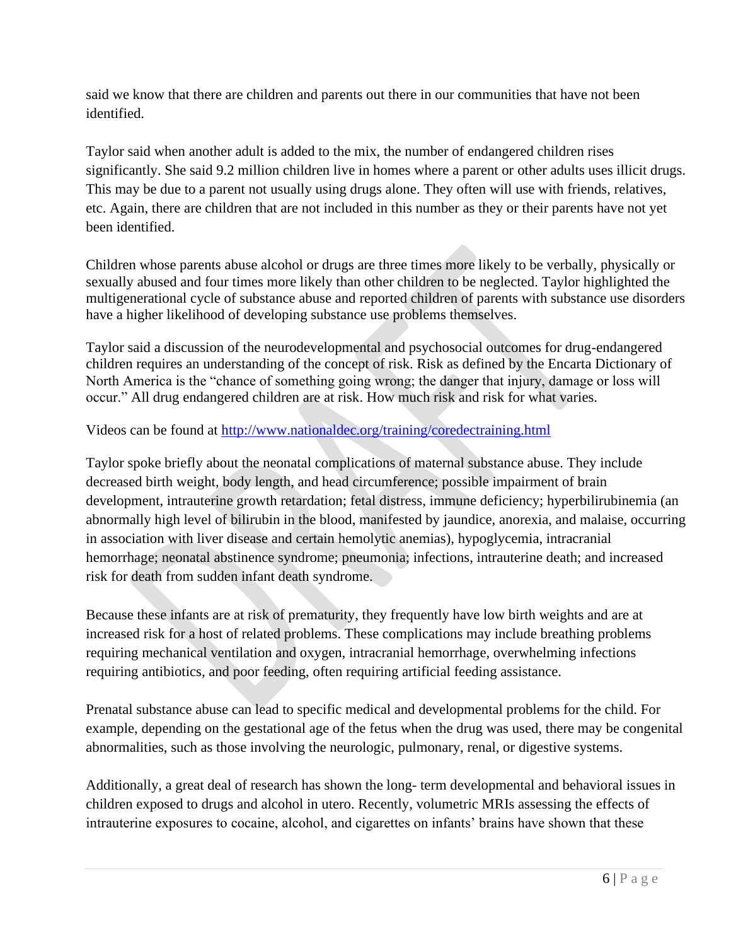said we know that there are children and parents out there in our communities that have not been identified.

Taylor said when another adult is added to the mix, the number of endangered children rises significantly. She said 9.2 million children live in homes where a parent or other adults uses illicit drugs. This may be due to a parent not usually using drugs alone. They often will use with friends, relatives, etc. Again, there are children that are not included in this number as they or their parents have not yet been identified.

Children whose parents abuse alcohol or drugs are three times more likely to be verbally, physically or sexually abused and four times more likely than other children to be neglected. Taylor highlighted the multigenerational cycle of substance abuse and reported children of parents with substance use disorders have a higher likelihood of developing substance use problems themselves.

Taylor said a discussion of the neurodevelopmental and psychosocial outcomes for drug-endangered children requires an understanding of the concept of risk. Risk as defined by the Encarta Dictionary of North America is the "chance of something going wrong; the danger that injury, damage or loss will occur." All drug endangered children are at risk. How much risk and risk for what varies.

Videos can be found at<http://www.nationaldec.org/training/coredectraining.html>

Taylor spoke briefly about the neonatal complications of maternal substance abuse. They include decreased birth weight, body length, and head circumference; possible impairment of brain development, intrauterine growth retardation; fetal distress, immune deficiency; hyperbilirubinemia (an abnormally high level of bilirubin in the blood, manifested by jaundice, anorexia, and malaise, occurring in association with liver disease and certain hemolytic anemias), hypoglycemia, intracranial hemorrhage; neonatal abstinence syndrome; pneumonia; infections, intrauterine death; and increased risk for death from sudden infant death syndrome.

Because these infants are at risk of prematurity, they frequently have low birth weights and are at increased risk for a host of related problems. These complications may include breathing problems requiring mechanical ventilation and oxygen, intracranial hemorrhage, overwhelming infections requiring antibiotics, and poor feeding, often requiring artificial feeding assistance.

Prenatal substance abuse can lead to specific medical and developmental problems for the child. For example, depending on the gestational age of the fetus when the drug was used, there may be congenital abnormalities, such as those involving the neurologic, pulmonary, renal, or digestive systems.

Additionally, a great deal of research has shown the long- term developmental and behavioral issues in children exposed to drugs and alcohol in utero. Recently, volumetric MRIs assessing the effects of intrauterine exposures to cocaine, alcohol, and cigarettes on infants' brains have shown that these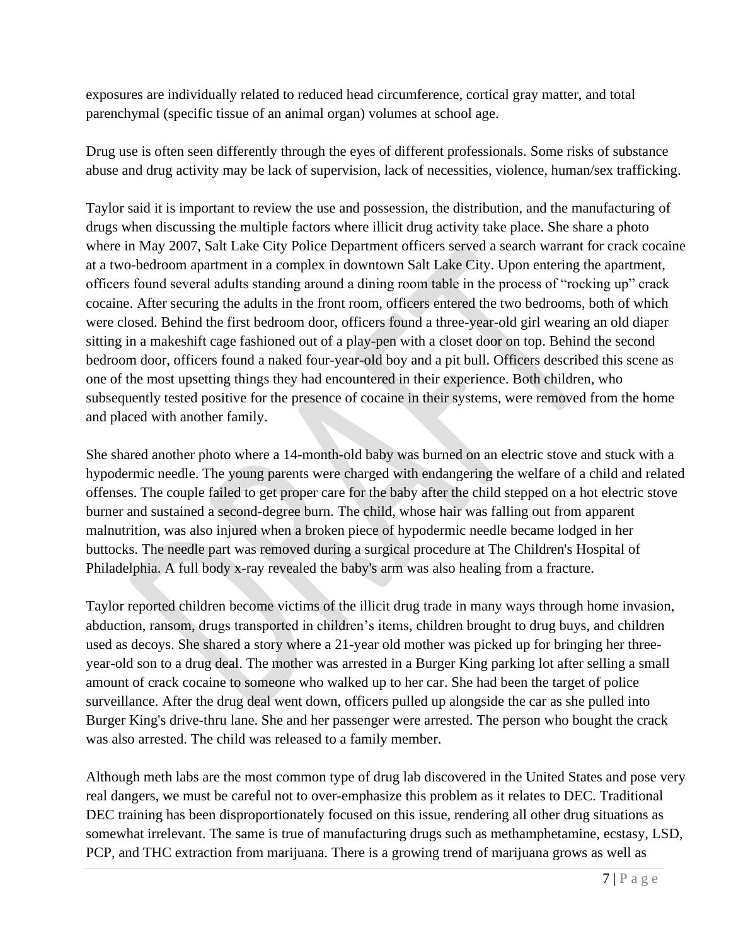exposures are individually related to reduced head circumference, cortical gray matter, and total parenchymal (specific tissue of an animal organ) volumes at school age.

Drug use is often seen differently through the eyes of different professionals. Some risks of substance abuse and drug activity may be lack of supervision, lack of necessities, violence, human/sex trafficking.

Taylor said it is important to review the use and possession, the distribution, and the manufacturing of drugs when discussing the multiple factors where illicit drug activity take place. She share a photo where in May 2007, Salt Lake City Police Department officers served a search warrant for crack cocaine at a two-bedroom apartment in a complex in downtown Salt Lake City. Upon entering the apartment, officers found several adults standing around a dining room table in the process of "rocking up" crack cocaine. After securing the adults in the front room, officers entered the two bedrooms, both of which were closed. Behind the first bedroom door, officers found a three-year-old girl wearing an old diaper sitting in a makeshift cage fashioned out of a play-pen with a closet door on top. Behind the second bedroom door, officers found a naked four-year-old boy and a pit bull. Officers described this scene as one of the most upsetting things they had encountered in their experience. Both children, who subsequently tested positive for the presence of cocaine in their systems, were removed from the home and placed with another family.

She shared another photo where a 14-month-old baby was burned on an electric stove and stuck with a hypodermic needle. The young parents were charged with endangering the welfare of a child and related offenses. The couple failed to get proper care for the baby after the child stepped on a hot electric stove burner and sustained a second-degree burn. The child, whose hair was falling out from apparent malnutrition, was also injured when a broken piece of hypodermic needle became lodged in her buttocks. The needle part was removed during a surgical procedure at The Children's Hospital of Philadelphia. A full body x-ray revealed the baby's arm was also healing from a fracture.

Taylor reported children become victims of the illicit drug trade in many ways through home invasion, abduction, ransom, drugs transported in children's items, children brought to drug buys, and children used as decoys. She shared a story where a 21-year old mother was picked up for bringing her threeyear-old son to a drug deal. The mother was arrested in a Burger King parking lot after selling a small amount of crack cocaine to someone who walked up to her car. She had been the target of police surveillance. After the drug deal went down, officers pulled up alongside the car as she pulled into Burger King's drive-thru lane. She and her passenger were arrested. The person who bought the crack was also arrested. The child was released to a family member.

Although meth labs are the most common type of drug lab discovered in the United States and pose very real dangers, we must be careful not to over-emphasize this problem as it relates to DEC. Traditional DEC training has been disproportionately focused on this issue, rendering all other drug situations as somewhat irrelevant. The same is true of manufacturing drugs such as methamphetamine, ecstasy, LSD, PCP, and THC extraction from marijuana. There is a growing trend of marijuana grows as well as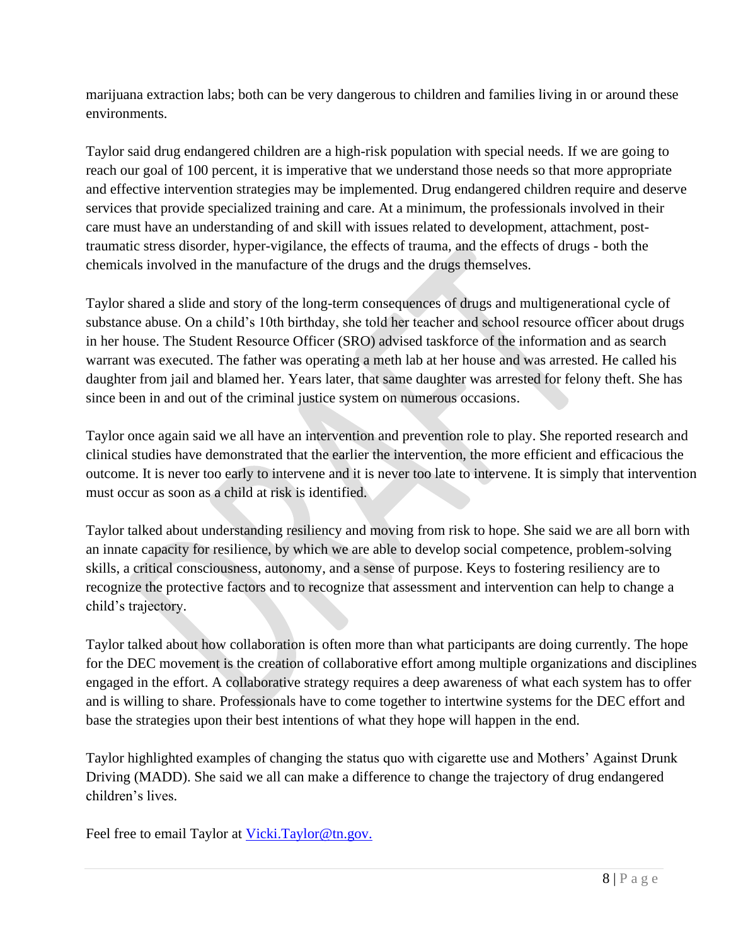marijuana extraction labs; both can be very dangerous to children and families living in or around these environments.

Taylor said drug endangered children are a high-risk population with special needs. If we are going to reach our goal of 100 percent, it is imperative that we understand those needs so that more appropriate and effective intervention strategies may be implemented. Drug endangered children require and deserve services that provide specialized training and care. At a minimum, the professionals involved in their care must have an understanding of and skill with issues related to development, attachment, posttraumatic stress disorder, hyper-vigilance, the effects of trauma, and the effects of drugs *-* both the chemicals involved in the manufacture of the drugs and the drugs themselves.

Taylor shared a slide and story of the long-term consequences of drugs and multigenerational cycle of substance abuse. On a child's 10th birthday, she told her teacher and school resource officer about drugs in her house. The Student Resource Officer (SRO) advised taskforce of the information and as search warrant was executed. The father was operating a meth lab at her house and was arrested. He called his daughter from jail and blamed her. Years later, that same daughter was arrested for felony theft. She has since been in and out of the criminal justice system on numerous occasions.

Taylor once again said we all have an intervention and prevention role to play. She reported research and clinical studies have demonstrated that the earlier the intervention, the more efficient and efficacious the outcome. It is never too early to intervene and it is never too late to intervene. It is simply that intervention must occur as soon as a child at risk is identified.

Taylor talked about understanding resiliency and moving from risk to hope. She said we are all born with an innate capacity for resilience, by which we are able to develop social competence, problem-solving skills, a critical consciousness, autonomy, and a sense of purpose. Keys to fostering resiliency are to recognize the protective factors and to recognize that assessment and intervention can help to change a child's trajectory.

Taylor talked about how collaboration is often more than what participants are doing currently. The hope for the DEC movement is the creation of collaborative effort among multiple organizations and disciplines engaged in the effort. A collaborative strategy requires a deep awareness of what each system has to offer and is willing to share. Professionals have to come together to intertwine systems for the DEC effort and base the strategies upon their best intentions of what they hope will happen in the end.

Taylor highlighted examples of changing the status quo with cigarette use and Mothers' Against Drunk Driving (MADD). She said we all can make a difference to change the trajectory of drug endangered children's lives.

Feel free to email Taylor at [Vicki.Taylor@tn.gov.](mailto:Vicki.Taylor@tn.gov)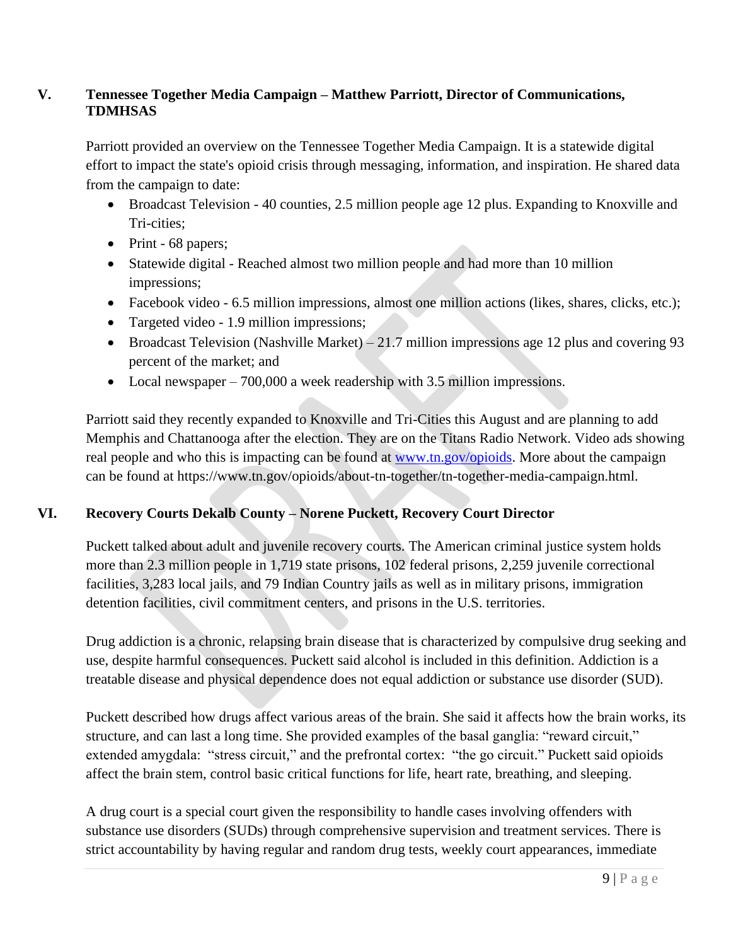## **V. Tennessee Together Media Campaign – Matthew Parriott, Director of Communications, TDMHSAS**

Parriott provided an overview on the Tennessee Together Media Campaign. It is a statewide digital effort to impact the state's opioid crisis through messaging, information, and inspiration. He shared data from the campaign to date:

- Broadcast Television 40 counties, 2.5 million people age 12 plus. Expanding to Knoxville and Tri-cities;
- Print 68 papers;
- Statewide digital Reached almost two million people and had more than 10 million impressions;
- Facebook video 6.5 million impressions, almost one million actions (likes, shares, clicks, etc.);
- Targeted video 1.9 million impressions;
- Broadcast Television (Nashville Market) 21.7 million impressions age 12 plus and covering 93 percent of the market; and
- Local newspaper 700,000 a week readership with 3.5 million impressions.

Parriott said they recently expanded to Knoxville and Tri-Cities this August and are planning to add Memphis and Chattanooga after the election. They are on the Titans Radio Network. Video ads showing real people and who this is impacting can be found at [www.tn.gov/opioids.](http://www.tn.gov/opioids) More about the campaign can be found at https://www.tn.gov/opioids/about-tn-together/tn-together-media-campaign.html.

# **VI. Recovery Courts Dekalb County – Norene Puckett, Recovery Court Director**

Puckett talked about adult and juvenile recovery courts. The American criminal justice system holds more than 2.3 million people in 1,719 state prisons, 102 federal prisons, 2,259 juvenile correctional facilities, 3,283 local jails, and 79 Indian Country jails as well as in military prisons, immigration detention facilities, civil commitment centers, and prisons in the U.S. territories.

Drug addiction is a chronic, relapsing brain disease that is characterized by compulsive drug seeking and use, despite harmful consequences. Puckett said alcohol is included in this definition. Addiction is a treatable disease and physical dependence does not equal addiction or substance use disorder (SUD).

Puckett described how drugs affect various areas of the brain. She said it affects how the brain works, its structure, and can last a long time. She provided examples of the basal ganglia: "reward circuit," extended amygdala: "stress circuit," and the prefrontal cortex: "the go circuit." Puckett said opioids affect the brain stem, control basic critical functions for life, heart rate, breathing, and sleeping.

A drug court is a special court given the responsibility to handle cases involving offenders with substance use disorders (SUDs) through comprehensive supervision and treatment services. There is strict accountability by having regular and random drug tests, weekly court appearances, immediate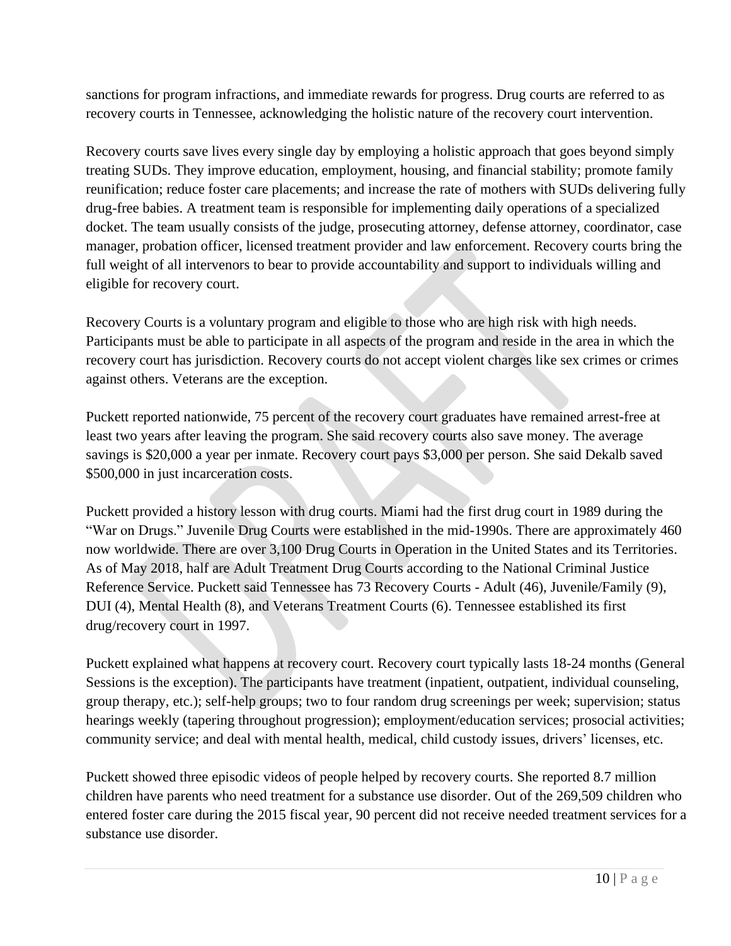sanctions for program infractions, and immediate rewards for progress. Drug courts are referred to as recovery courts in Tennessee, acknowledging the holistic nature of the recovery court intervention.

Recovery courts save lives every single day by employing a holistic approach that goes beyond simply treating SUDs. They improve education, employment, housing, and financial stability; promote family reunification; reduce foster care placements; and increase the rate of mothers with SUDs delivering fully drug-free babies. A treatment team is responsible for implementing daily operations of a specialized docket. The team usually consists of the judge, prosecuting attorney, defense attorney, coordinator, case manager, probation officer, licensed treatment provider and law enforcement. Recovery courts bring the full weight of all intervenors to bear to provide accountability and support to individuals willing and eligible for recovery court.

Recovery Courts is a voluntary program and eligible to those who are high risk with high needs. Participants must be able to participate in all aspects of the program and reside in the area in which the recovery court has jurisdiction. Recovery courts do not accept violent charges like sex crimes or crimes against others. Veterans are the exception.

Puckett reported nationwide, 75 percent of the recovery court graduates have remained arrest-free at least two years after leaving the program. She said recovery courts also save money. The average savings is \$20,000 a year per inmate. Recovery court pays \$3,000 per person. She said Dekalb saved \$500,000 in just incarceration costs.

Puckett provided a history lesson with drug courts. Miami had the first drug court in 1989 during the "War on Drugs." Juvenile Drug Courts were established in the mid-1990s. There are approximately 460 now worldwide. There are over 3,100 Drug Courts in Operation in the United States and its Territories. As of May 2018, half are Adult Treatment Drug Courts according to the National Criminal Justice Reference Service. Puckett said Tennessee has 73 Recovery Courts - Adult (46), Juvenile/Family (9), DUI (4), Mental Health (8), and Veterans Treatment Courts (6). Tennessee established its first drug/recovery court in 1997.

Puckett explained what happens at recovery court. Recovery court typically lasts 18-24 months (General Sessions is the exception). The participants have treatment (inpatient, outpatient, individual counseling, group therapy, etc.); self-help groups; two to four random drug screenings per week; supervision; status hearings weekly (tapering throughout progression); employment/education services; prosocial activities; community service; and deal with mental health, medical, child custody issues, drivers' licenses, etc.

Puckett showed three episodic videos of people helped by recovery courts. She reported 8.7 million children have parents who need treatment for a substance use disorder. Out of the 269,509 children who entered foster care during the 2015 fiscal year, 90 percent did not receive needed treatment services for a substance use disorder.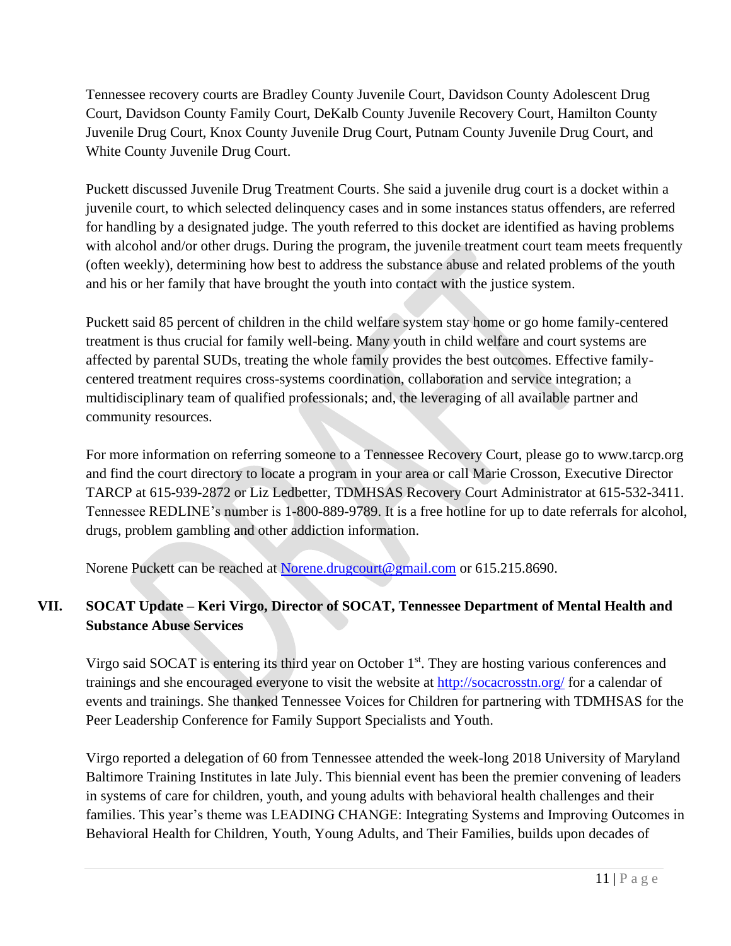Tennessee recovery courts are Bradley County Juvenile Court, Davidson County Adolescent Drug Court, Davidson County Family Court, DeKalb County Juvenile Recovery Court, Hamilton County Juvenile Drug Court, Knox County Juvenile Drug Court, Putnam County Juvenile Drug Court, and White County Juvenile Drug Court.

Puckett discussed Juvenile Drug Treatment Courts. She said a juvenile drug court is a docket within a juvenile court, to which selected delinquency cases and in some instances status offenders, are referred for handling by a designated judge. The youth referred to this docket are identified as having problems with alcohol and/or other drugs. During the program, the juvenile treatment court team meets frequently (often weekly), determining how best to address the substance abuse and related problems of the youth and his or her family that have brought the youth into contact with the justice system.

Puckett said 85 percent of children in the child welfare system stay home or go home family-centered treatment is thus crucial for family well-being. Many youth in child welfare and court systems are affected by parental SUDs, treating the whole family provides the best outcomes. Effective familycentered treatment requires cross-systems coordination, collaboration and service integration; a multidisciplinary team of qualified professionals; and, the leveraging of all available partner and community resources.

For more information on referring someone to a Tennessee Recovery Court, please go to www.tarcp.org and find the court directory to locate a program in your area or call Marie Crosson, Executive Director TARCP at 615-939-2872 or Liz Ledbetter, TDMHSAS Recovery Court Administrator at 615-532-3411. Tennessee REDLINE's number is 1-800-889-9789. It is a free hotline for up to date referrals for alcohol, drugs, problem gambling and other addiction information.

Norene Puckett can be reached at [Norene.drugcourt@gmail.com](mailto:Norene.drugcourt@gmail.com) or 615.215.8690.

# **VII. SOCAT Update – Keri Virgo, Director of SOCAT, Tennessee Department of Mental Health and Substance Abuse Services**

Virgo said SOCAT is entering its third year on October 1<sup>st</sup>. They are hosting various conferences and trainings and she encouraged everyone to visit the website at<http://socacrosstn.org/> for a calendar of events and trainings. She thanked Tennessee Voices for Children for partnering with TDMHSAS for the Peer Leadership Conference for Family Support Specialists and Youth.

Virgo reported a delegation of 60 from Tennessee attended the week-long 2018 University of Maryland Baltimore Training Institutes in late July. This biennial event has been the premier convening of leaders in systems of care for children, youth, and young adults with behavioral health challenges and their families. This year's theme was LEADING CHANGE: Integrating Systems and Improving Outcomes in Behavioral Health for Children, Youth, Young Adults, and Their Families, builds upon decades of